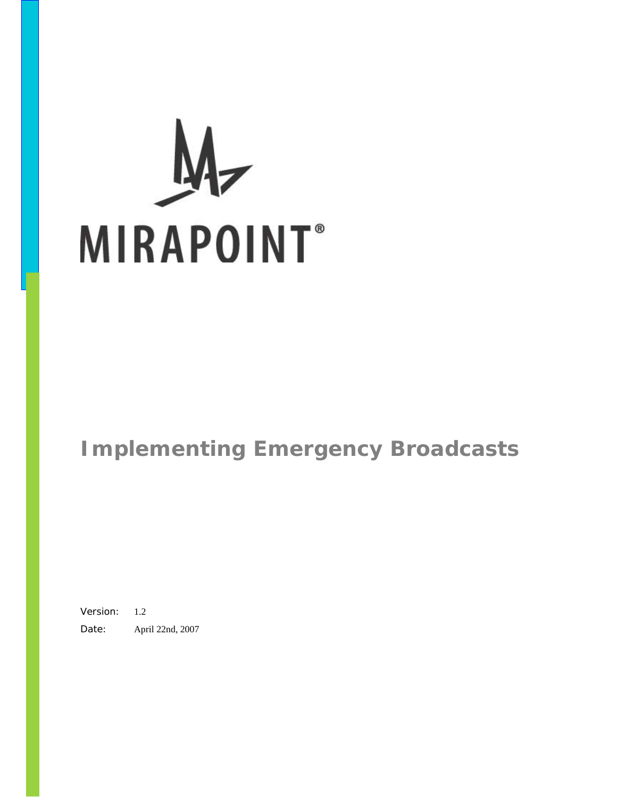# Ĥ **MIRAPOINT**<sup>®</sup>

# **Implementing Emergency Broadcasts**

Version: 1.2 Date: April 22nd, 2007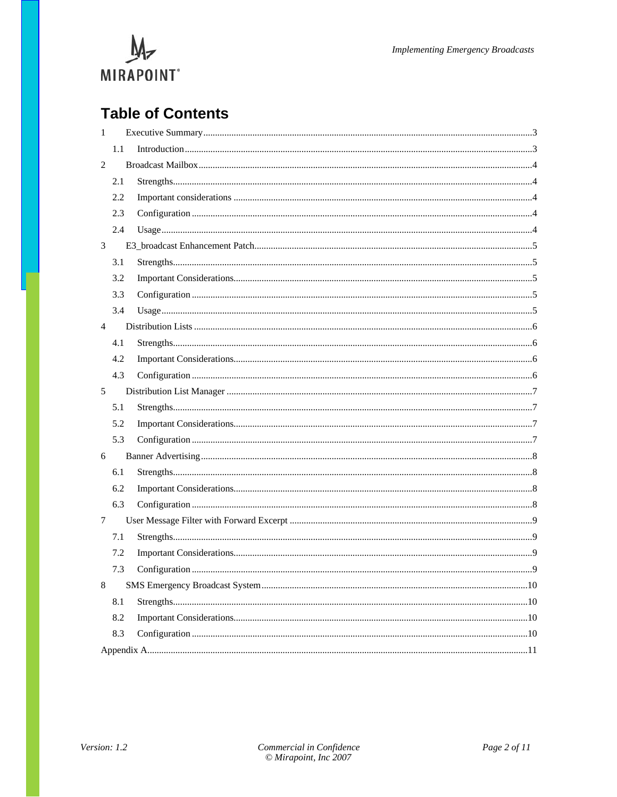

# **Table of Contents**

| $\mathbf{1}$   |     |  |
|----------------|-----|--|
|                | 1.1 |  |
| 2              |     |  |
|                | 2.1 |  |
|                | 2.2 |  |
|                | 2.3 |  |
|                | 2.4 |  |
| 3              |     |  |
|                | 3.1 |  |
|                | 3.2 |  |
|                | 3.3 |  |
|                | 3.4 |  |
| $\overline{4}$ |     |  |
|                | 4.1 |  |
|                | 4.2 |  |
|                | 4.3 |  |
| 5              |     |  |
|                | 5.1 |  |
|                | 5.2 |  |
|                | 5.3 |  |
| 6              |     |  |
|                | 6.1 |  |
|                | 6.2 |  |
|                | 6.3 |  |
| 7              |     |  |
|                | 7.1 |  |
|                | 7.2 |  |
|                | 7.3 |  |
| 8              |     |  |
|                | 8.1 |  |
|                | 8.2 |  |
|                | 8.3 |  |
|                |     |  |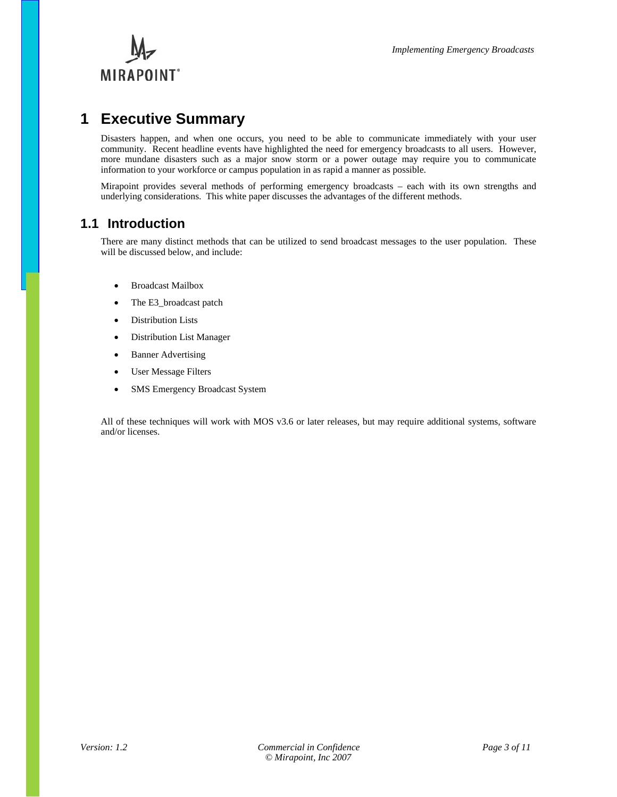

# **1 Executive Summary**

Disasters happen, and when one occurs, you need to be able to communicate immediately with your user community. Recent headline events have highlighted the need for emergency broadcasts to all users. However, more mundane disasters such as a major snow storm or a power outage may require you to communicate information to your workforce or campus population in as rapid a manner as possible.

Mirapoint provides several methods of performing emergency broadcasts – each with its own strengths and underlying considerations. This white paper discusses the advantages of the different methods.

### **1.1 Introduction**

There are many distinct methods that can be utilized to send broadcast messages to the user population. These will be discussed below, and include:

- Broadcast Mailbox
- The E3\_broadcast patch
- Distribution Lists
- Distribution List Manager
- Banner Advertising
- User Message Filters
- SMS Emergency Broadcast System

All of these techniques will work with MOS v3.6 or later releases, but may require additional systems, software and/or licenses.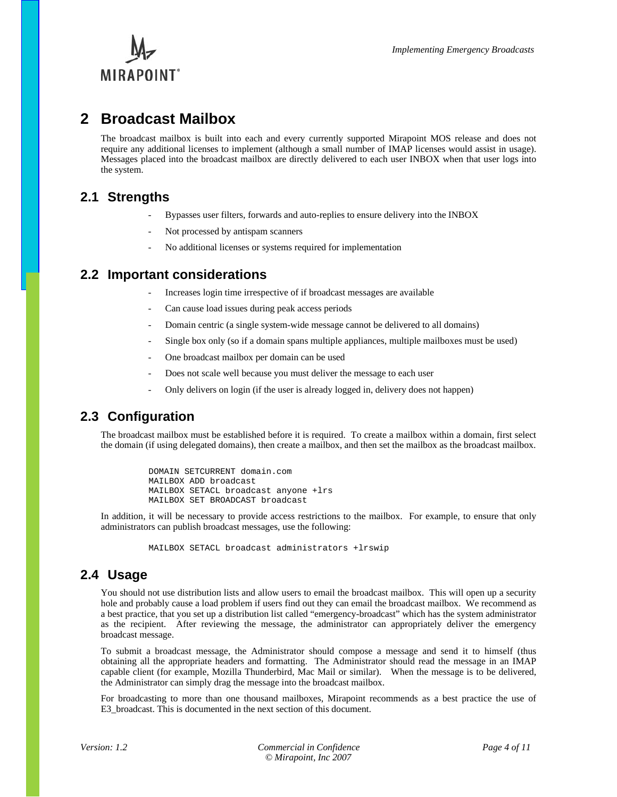

# **2 Broadcast Mailbox**

The broadcast mailbox is built into each and every currently supported Mirapoint MOS release and does not require any additional licenses to implement (although a small number of IMAP licenses would assist in usage). Messages placed into the broadcast mailbox are directly delivered to each user INBOX when that user logs into the system.

### **2.1 Strengths**

- Bypasses user filters, forwards and auto-replies to ensure delivery into the INBOX
- Not processed by antispam scanners
- No additional licenses or systems required for implementation

### **2.2 Important considerations**

- Increases login time irrespective of if broadcast messages are available
- Can cause load issues during peak access periods
- Domain centric (a single system-wide message cannot be delivered to all domains)
- Single box only (so if a domain spans multiple appliances, multiple mailboxes must be used)
- One broadcast mailbox per domain can be used
- Does not scale well because you must deliver the message to each user
- Only delivers on login (if the user is already logged in, delivery does not happen)

### **2.3 Configuration**

The broadcast mailbox must be established before it is required. To create a mailbox within a domain, first select the domain (if using delegated domains), then create a mailbox, and then set the mailbox as the broadcast mailbox.

> DOMAIN SETCURRENT domain.com MAILBOX ADD broadcast MAILBOX SETACL broadcast anyone +lrs MAILBOX SET BROADCAST broadcast

In addition, it will be necessary to provide access restrictions to the mailbox. For example, to ensure that only administrators can publish broadcast messages, use the following:

MAILBOX SETACL broadcast administrators +lrswip

### **2.4 Usage**

You should not use distribution lists and allow users to email the broadcast mailbox. This will open up a security hole and probably cause a load problem if users find out they can email the broadcast mailbox. We recommend as a best practice, that you set up a distribution list called "emergency-broadcast" which has the system administrator as the recipient. After reviewing the message, the administrator can appropriately deliver the emergency broadcast message.

To submit a broadcast message, the Administrator should compose a message and send it to himself (thus obtaining all the appropriate headers and formatting. The Administrator should read the message in an IMAP capable client (for example, Mozilla Thunderbird, Mac Mail or similar). When the message is to be delivered, the Administrator can simply drag the message into the broadcast mailbox.

For broadcasting to more than one thousand mailboxes, Mirapoint recommends as a best practice the use of E3\_broadcast. This is documented in the next section of this document.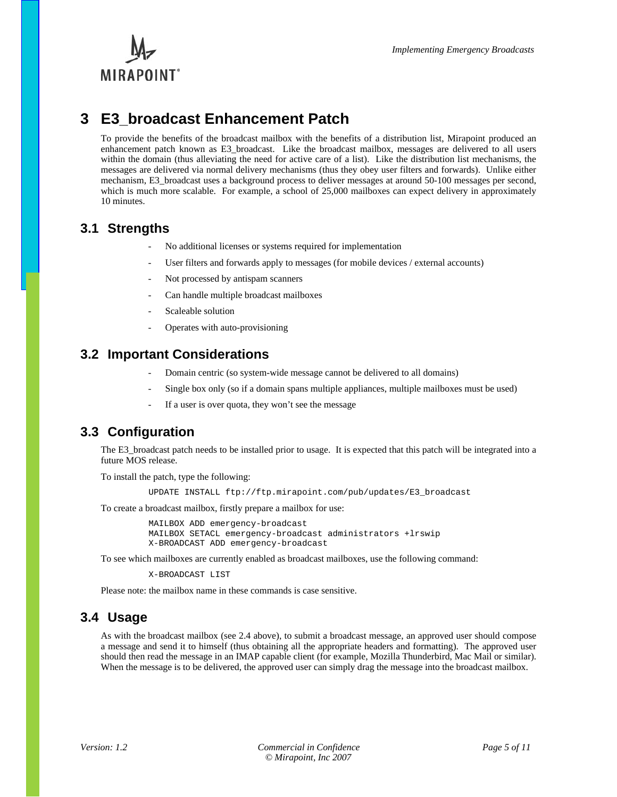

# **3 E3\_broadcast Enhancement Patch**

To provide the benefits of the broadcast mailbox with the benefits of a distribution list, Mirapoint produced an enhancement patch known as E3\_broadcast. Like the broadcast mailbox, messages are delivered to all users within the domain (thus alleviating the need for active care of a list). Like the distribution list mechanisms, the messages are delivered via normal delivery mechanisms (thus they obey user filters and forwards). Unlike either mechanism, E3\_broadcast uses a background process to deliver messages at around 50-100 messages per second, which is much more scalable. For example, a school of 25,000 mailboxes can expect delivery in approximately 10 minutes.

### **3.1 Strengths**

- No additional licenses or systems required for implementation
- User filters and forwards apply to messages (for mobile devices / external accounts)
- Not processed by antispam scanners
- Can handle multiple broadcast mailboxes
- Scaleable solution
- Operates with auto-provisioning

### **3.2 Important Considerations**

- Domain centric (so system-wide message cannot be delivered to all domains)
- Single box only (so if a domain spans multiple appliances, multiple mailboxes must be used)
- If a user is over quota, they won't see the message

### **3.3 Configuration**

The E3 broadcast patch needs to be installed prior to usage. It is expected that this patch will be integrated into a future MOS release.

To install the patch, type the following:

UPDATE INSTALL ftp://ftp.mirapoint.com/pub/updates/E3\_broadcast

To create a broadcast mailbox, firstly prepare a mailbox for use:

MAILBOX ADD emergency-broadcast MAILBOX SETACL emergency-broadcast administrators +lrswip X-BROADCAST ADD emergency-broadcast

To see which mailboxes are currently enabled as broadcast mailboxes, use the following command:

X-BROADCAST LIST

Please note: the mailbox name in these commands is case sensitive.

### **3.4 Usage**

As with the broadcast mailbox (see 2.4 above), to submit a broadcast message, an approved user should compose a message and send it to himself (thus obtaining all the appropriate headers and formatting). The approved user should then read the message in an IMAP capable client (for example, Mozilla Thunderbird, Mac Mail or similar). When the message is to be delivered, the approved user can simply drag the message into the broadcast mailbox.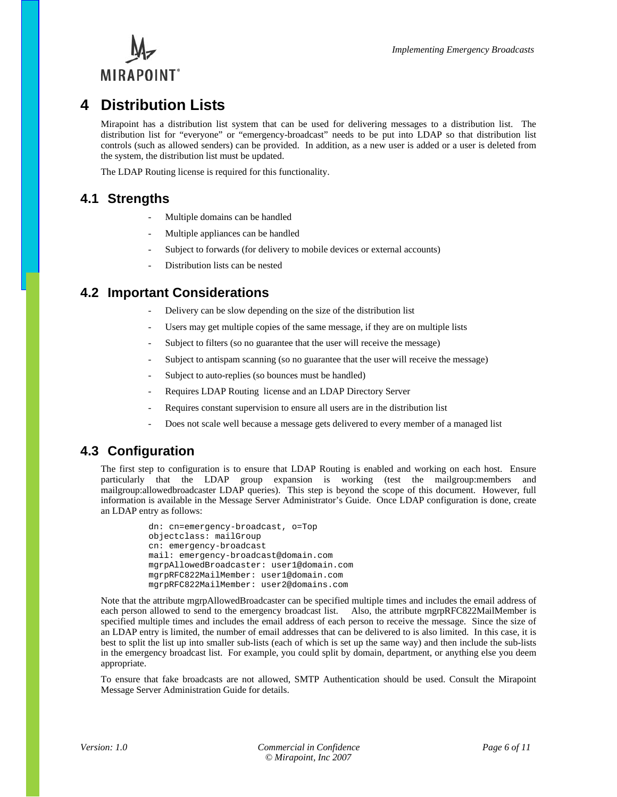

# **4 Distribution Lists**

Mirapoint has a distribution list system that can be used for delivering messages to a distribution list. The distribution list for "everyone" or "emergency-broadcast" needs to be put into LDAP so that distribution list controls (such as allowed senders) can be provided. In addition, as a new user is added or a user is deleted from the system, the distribution list must be updated.

The LDAP Routing license is required for this functionality.

### **4.1 Strengths**

- Multiple domains can be handled
- Multiple appliances can be handled
- Subject to forwards (for delivery to mobile devices or external accounts)
- Distribution lists can be nested

### **4.2 Important Considerations**

- Delivery can be slow depending on the size of the distribution list
- Users may get multiple copies of the same message, if they are on multiple lists
- Subject to filters (so no guarantee that the user will receive the message)
- Subject to antispam scanning (so no guarantee that the user will receive the message)
- Subject to auto-replies (so bounces must be handled)
- Requires LDAP Routing license and an LDAP Directory Server
- Requires constant supervision to ensure all users are in the distribution list
- Does not scale well because a message gets delivered to every member of a managed list

### **4.3 Configuration**

The first step to configuration is to ensure that LDAP Routing is enabled and working on each host. Ensure particularly that the LDAP group expansion is working (test the mailgroup:members and mailgroup:allowedbroadcaster LDAP queries). This step is beyond the scope of this document. However, full information is available in the Message Server Administrator's Guide. Once LDAP configuration is done, create an LDAP entry as follows:

```
dn: cn=emergency-broadcast, o=Top 
objectclass: mailGroup 
cn: emergency-broadcast 
mail: emergency-broadcast@domain.com 
mgrpAllowedBroadcaster: user1@domain.com 
mgrpRFC822MailMember: user1@domain.com 
mgrpRFC822MailMember: user2@domains.com
```
Note that the attribute mgrpAllowedBroadcaster can be specified multiple times and includes the email address of each person allowed to send to the emergency broadcast list. Also, the attribute mgrpRFC822MailMember is specified multiple times and includes the email address of each person to receive the message. Since the size of an LDAP entry is limited, the number of email addresses that can be delivered to is also limited. In this case, it is best to split the list up into smaller sub-lists (each of which is set up the same way) and then include the sub-lists in the emergency broadcast list. For example, you could split by domain, department, or anything else you deem appropriate.

To ensure that fake broadcasts are not allowed, SMTP Authentication should be used. Consult the Mirapoint Message Server Administration Guide for details.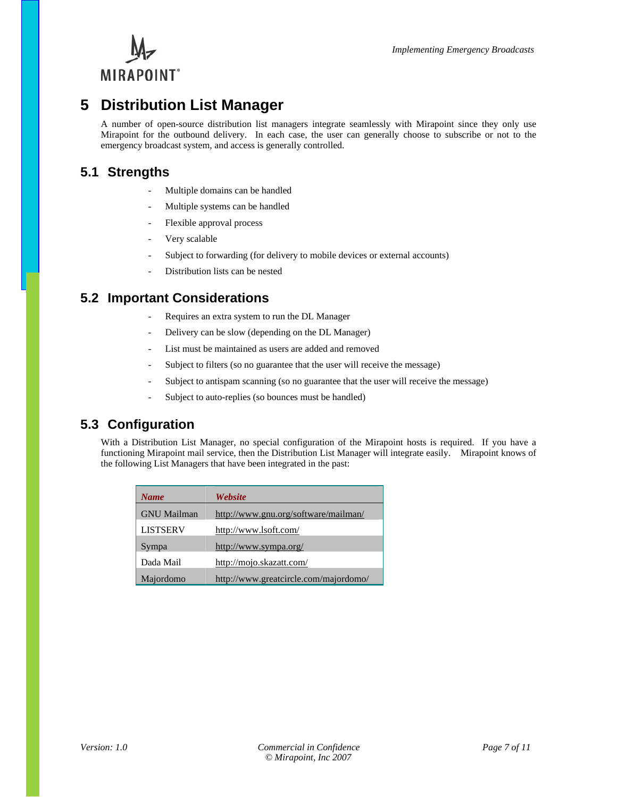

# **5 Distribution List Manager**

A number of open-source distribution list managers integrate seamlessly with Mirapoint since they only use Mirapoint for the outbound delivery. In each case, the user can generally choose to subscribe or not to the emergency broadcast system, and access is generally controlled.

### **5.1 Strengths**

- Multiple domains can be handled
- Multiple systems can be handled
- Flexible approval process
- Very scalable
- Subject to forwarding (for delivery to mobile devices or external accounts)
- Distribution lists can be nested

### **5.2 Important Considerations**

- Requires an extra system to run the DL Manager
- Delivery can be slow (depending on the DL Manager)
- List must be maintained as users are added and removed
- Subject to filters (so no guarantee that the user will receive the message)
- Subject to antispam scanning (so no guarantee that the user will receive the message)
- Subject to auto-replies (so bounces must be handled)

### **5.3 Configuration**

With a Distribution List Manager, no special configuration of the Mirapoint hosts is required. If you have a functioning Mirapoint mail service, then the Distribution List Manager will integrate easily. Mirapoint knows of the following List Managers that have been integrated in the past:

| <b>Name</b>        | Website                               |
|--------------------|---------------------------------------|
| <b>GNU</b> Mailman | http://www.gnu.org/software/mailman/  |
| <b>LISTSERV</b>    | http://www.lsoft.com/                 |
| Sympa              | http://www.sympa.org/                 |
| Dada Mail          | http://mojo.skazatt.com/              |
| Majordomo          | http://www.greatcircle.com/majordomo/ |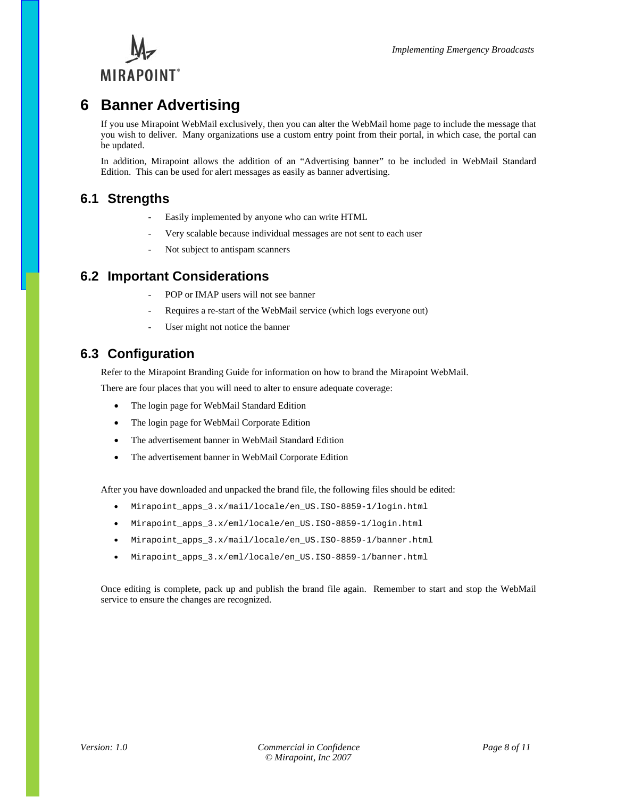

# **6 Banner Advertising**

If you use Mirapoint WebMail exclusively, then you can alter the WebMail home page to include the message that you wish to deliver. Many organizations use a custom entry point from their portal, in which case, the portal can be updated.

In addition, Mirapoint allows the addition of an "Advertising banner" to be included in WebMail Standard Edition. This can be used for alert messages as easily as banner advertising.

### **6.1 Strengths**

- Easily implemented by anyone who can write HTML
- Very scalable because individual messages are not sent to each user
- Not subject to antispam scanners

### **6.2 Important Considerations**

- POP or IMAP users will not see banner
- Requires a re-start of the WebMail service (which logs everyone out)
- User might not notice the banner

### **6.3 Configuration**

Refer to the Mirapoint Branding Guide for information on how to brand the Mirapoint WebMail.

There are four places that you will need to alter to ensure adequate coverage:

- The login page for WebMail Standard Edition
- The login page for WebMail Corporate Edition
- The advertisement banner in WebMail Standard Edition
- The advertisement banner in WebMail Corporate Edition

After you have downloaded and unpacked the brand file, the following files should be edited:

- Mirapoint\_apps\_3.x/mail/locale/en\_US.ISO-8859-1/login.html
- Mirapoint\_apps\_3.x/eml/locale/en\_US.ISO-8859-1/login.html
- Mirapoint\_apps\_3.x/mail/locale/en\_US.ISO-8859-1/banner.html
- Mirapoint\_apps\_3.x/eml/locale/en\_US.ISO-8859-1/banner.html

Once editing is complete, pack up and publish the brand file again. Remember to start and stop the WebMail service to ensure the changes are recognized.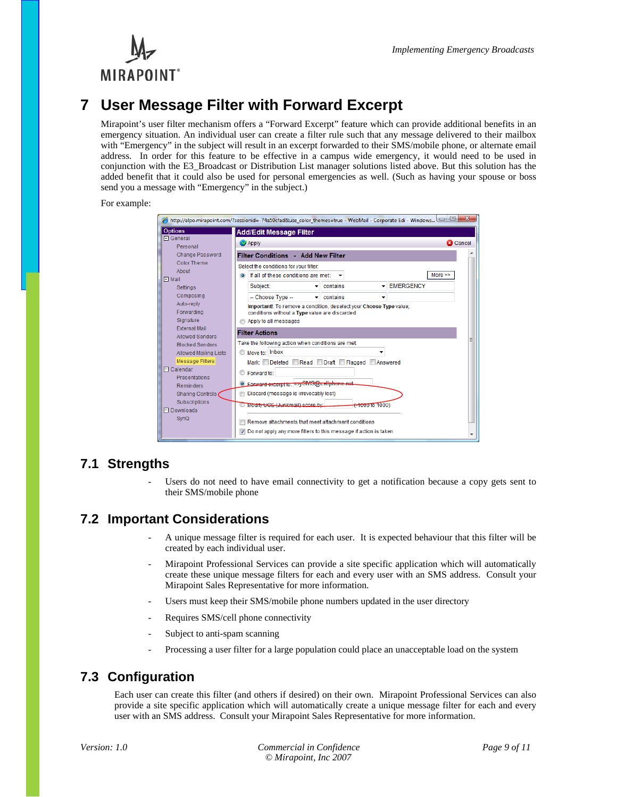



# **7 User Message Filter with Forward Excerpt**

Mirapoint's user filter mechanism offers a "Forward Excerpt" feature which can provide additional benefits in an emergency situation. An individual user can create a filter rule such that any message delivered to their mailbox with "Emergency" in the subject will result in an excerpt forwarded to their SMS/mobile phone, or alternate email address. In order for this feature to be effective in a campus wide emergency, it would need to be used in conjunction with the E3\_Broadcast or Distribution List manager solutions listed above. But this solution has the added benefit that it could also be used for personal emergencies as well. (Such as having your spouse or boss send you a message with "Emergency" in the subject.)

For example:

|                                                        | http://alpo.mirapoint.com/?sessionid=-74a50cfad&use_color_themes=true - WebMail - Corporate Edi - Windows             | $\mathbf{x}$ |
|--------------------------------------------------------|-----------------------------------------------------------------------------------------------------------------------|--------------|
| <b>Options</b>                                         | <b>Add/Edit Message Filter</b>                                                                                        |              |
| <b>El General</b><br>Personal                          | <b>C3</b> Cancel<br>Apply                                                                                             |              |
| Change Password                                        | <b>Filter Conditions - Add New Filter</b>                                                                             |              |
| Color Theme<br>About                                   | Select the conditions for your filter:<br>More $\gg$<br>If all of these conditions are met:                           |              |
| $\Box$ Mail<br>Settings                                | - EMERGENCY<br>Subject:<br>contains<br>$\overline{\phantom{a}}$                                                       |              |
| Composing<br>Auto-reply                                | -- Choose Type --<br>$\overline{\phantom{a}}$ contains                                                                |              |
| Forwarding<br>Signature                                | Important!: To remove a condition, deselect your Choose Type value;<br>conditions without a Type value are discarded. |              |
| <b>External Mail</b>                                   | Apply to all messages<br><b>Filter Actions</b>                                                                        |              |
| <b>Allowed Senders</b><br><b>Blocked Senders</b>       | Take the following action when conditions are met:                                                                    |              |
| <b>Allowed Mailing Lists</b><br><b>Message Filters</b> | Move to: Inbox<br>Mark: Deleted Read Draft Flagged Answered                                                           |              |
| 日 Calendar                                             | Forward to:                                                                                                           |              |
| <b>Presentations</b><br><b>Reminders</b>               | C Forward excerpt to: mySMS@cellphone.net                                                                             |              |
| Sharing Controls<br>Subscriptions                      | Discard (message is irrevocably lost)                                                                                 |              |
| <b>FI Downloads</b>                                    | Modify UGE (Junkmail) score by:<br><del>(-1000</del> to 1000)                                                         |              |
| <b>SvnQ</b>                                            | Remove attachments that meet attachment conditions                                                                    |              |
|                                                        | Do not apply any more filters to this message if action is taken<br>$\overline{J}$                                    |              |

### **7.1 Strengths**

Users do not need to have email connectivity to get a notification because a copy gets sent to their SMS/mobile phone

### **7.2 Important Considerations**

- A unique message filter is required for each user. It is expected behaviour that this filter will be created by each individual user.
- Mirapoint Professional Services can provide a site specific application which will automatically create these unique message filters for each and every user with an SMS address. Consult your Mirapoint Sales Representative for more information.
- Users must keep their SMS/mobile phone numbers updated in the user directory
- Requires SMS/cell phone connectivity
- Subject to anti-spam scanning
- Processing a user filter for a large population could place an unacceptable load on the system

### **7.3 Configuration**

Each user can create this filter (and others if desired) on their own. Mirapoint Professional Services can also provide a site specific application which will automatically create a unique message filter for each and every user with an SMS address. Consult your Mirapoint Sales Representative for more information.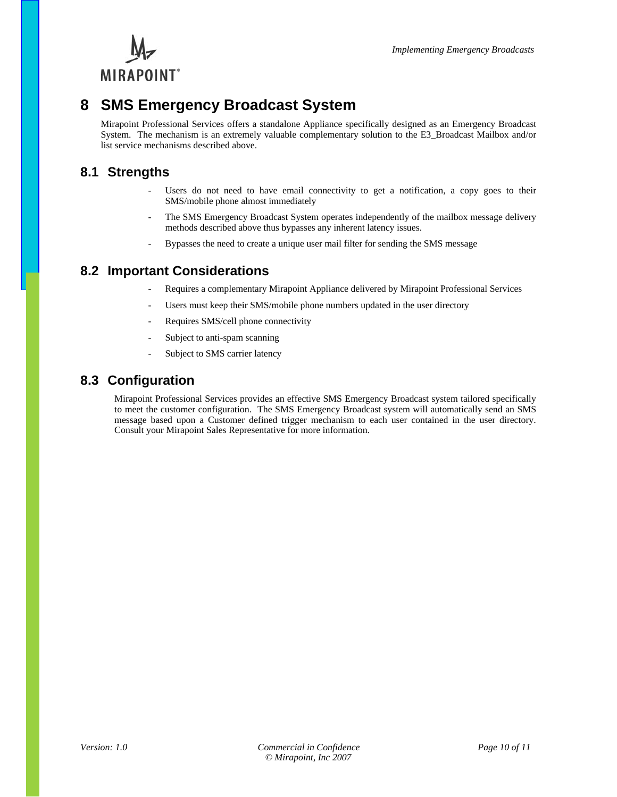

# **8 SMS Emergency Broadcast System**

Mirapoint Professional Services offers a standalone Appliance specifically designed as an Emergency Broadcast System. The mechanism is an extremely valuable complementary solution to the E3\_Broadcast Mailbox and/or list service mechanisms described above.

### **8.1 Strengths**

- Users do not need to have email connectivity to get a notification, a copy goes to their SMS/mobile phone almost immediately
- The SMS Emergency Broadcast System operates independently of the mailbox message delivery methods described above thus bypasses any inherent latency issues.
- Bypasses the need to create a unique user mail filter for sending the SMS message

### **8.2 Important Considerations**

- Requires a complementary Mirapoint Appliance delivered by Mirapoint Professional Services
- Users must keep their SMS/mobile phone numbers updated in the user directory
- Requires SMS/cell phone connectivity
- Subject to anti-spam scanning
- Subject to SMS carrier latency

### **8.3 Configuration**

Mirapoint Professional Services provides an effective SMS Emergency Broadcast system tailored specifically to meet the customer configuration. The SMS Emergency Broadcast system will automatically send an SMS message based upon a Customer defined trigger mechanism to each user contained in the user directory. Consult your Mirapoint Sales Representative for more information.